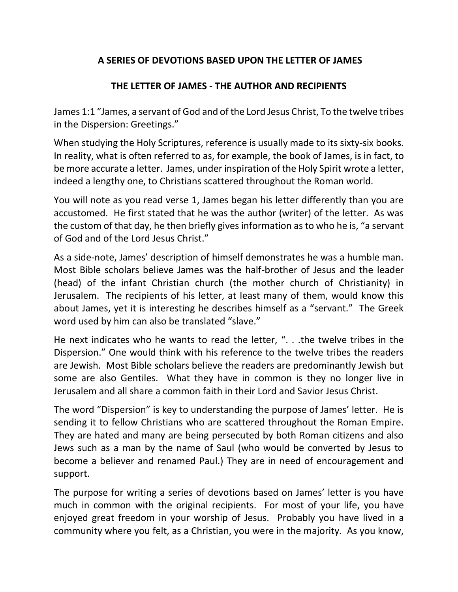## **A SERIES OF DEVOTIONS BASED UPON THE LETTER OF JAMES**

## **THE LETTER OF JAMES - THE AUTHOR AND RECIPIENTS**

James 1:1 "James, a servant of God and of the Lord Jesus Christ, To the twelve tribes in the Dispersion: Greetings."

When studying the Holy Scriptures, reference is usually made to its sixty-six books. In reality, what is often referred to as, for example, the book of James, is in fact, to be more accurate a letter. James, under inspiration of the Holy Spirit wrote a letter, indeed a lengthy one, to Christians scattered throughout the Roman world.

You will note as you read verse 1, James began his letter differently than you are accustomed. He first stated that he was the author (writer) of the letter. As was the custom of that day, he then briefly gives information as to who he is, "a servant of God and of the Lord Jesus Christ."

As a side-note, James' description of himself demonstrates he was a humble man. Most Bible scholars believe James was the half-brother of Jesus and the leader (head) of the infant Christian church (the mother church of Christianity) in Jerusalem. The recipients of his letter, at least many of them, would know this about James, yet it is interesting he describes himself as a "servant." The Greek word used by him can also be translated "slave."

He next indicates who he wants to read the letter, ". . .the twelve tribes in the Dispersion." One would think with his reference to the twelve tribes the readers are Jewish. Most Bible scholars believe the readers are predominantly Jewish but some are also Gentiles. What they have in common is they no longer live in Jerusalem and all share a common faith in their Lord and Savior Jesus Christ.

The word "Dispersion" is key to understanding the purpose of James' letter. He is sending it to fellow Christians who are scattered throughout the Roman Empire. They are hated and many are being persecuted by both Roman citizens and also Jews such as a man by the name of Saul (who would be converted by Jesus to become a believer and renamed Paul.) They are in need of encouragement and support.

The purpose for writing a series of devotions based on James' letter is you have much in common with the original recipients. For most of your life, you have enjoyed great freedom in your worship of Jesus. Probably you have lived in a community where you felt, as a Christian, you were in the majority. As you know,